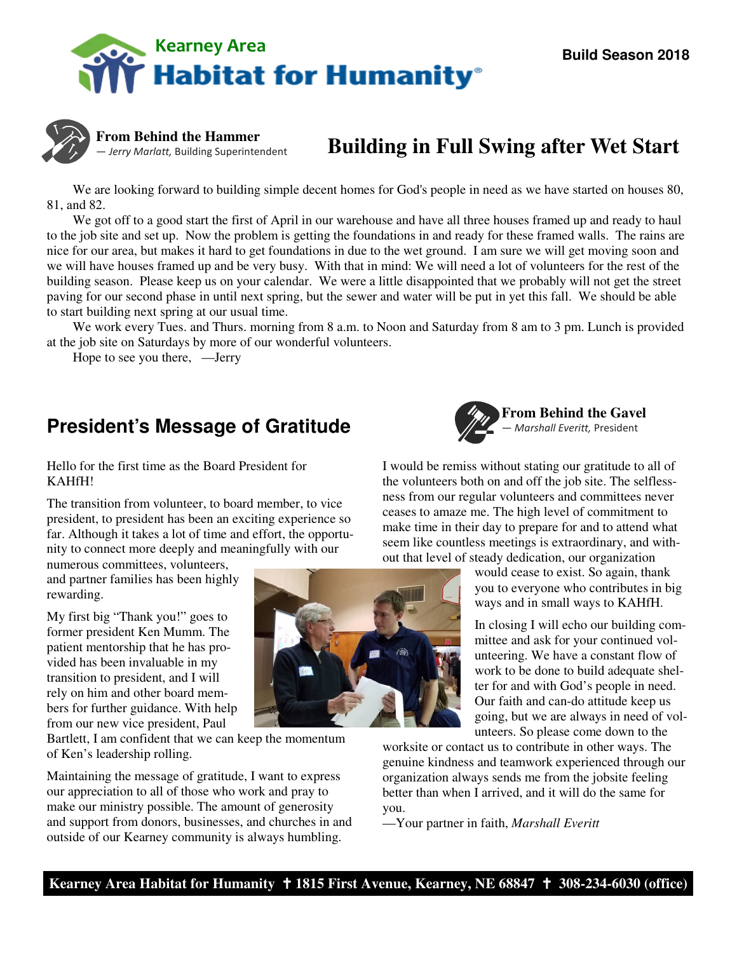



**From Behind the Hammer**  — Jerry Marlatt, Building Superintendent

# **Building in Full Swing after Wet Start**

We are looking forward to building simple decent homes for God's people in need as we have started on houses 80, 81, and 82.

 We got off to a good start the first of April in our warehouse and have all three houses framed up and ready to haul to the job site and set up. Now the problem is getting the foundations in and ready for these framed walls. The rains are nice for our area, but makes it hard to get foundations in due to the wet ground. I am sure we will get moving soon and we will have houses framed up and be very busy. With that in mind: We will need a lot of volunteers for the rest of the building season. Please keep us on your calendar. We were a little disappointed that we probably will not get the street paving for our second phase in until next spring, but the sewer and water will be put in yet this fall. We should be able to start building next spring at our usual time.

We work every Tues. and Thurs. morning from 8 a.m. to Noon and Saturday from 8 am to 3 pm. Lunch is provided at the job site on Saturdays by more of our wonderful volunteers.

Hope to see you there, —Jerry

### **President's Message of Gratitude**



Hello for the first time as the Board President for KAHfH!

The transition from volunteer, to board member, to vice president, to president has been an exciting experience so far. Although it takes a lot of time and effort, the opportunity to connect more deeply and meaningfully with our

numerous committees, volunteers, and partner families has been highly rewarding.

My first big "Thank you!" goes to former president Ken Mumm. The patient mentorship that he has provided has been invaluable in my transition to president, and I will rely on him and other board members for further guidance. With help from our new vice president, Paul

Bartlett, I am confident that we can keep the momentum of Ken's leadership rolling.

Maintaining the message of gratitude, I want to express our appreciation to all of those who work and pray to make our ministry possible. The amount of generosity and support from donors, businesses, and churches in and outside of our Kearney community is always humbling.

I would be remiss without stating our gratitude to all of the volunteers both on and off the job site. The selflessness from our regular volunteers and committees never ceases to amaze me. The high level of commitment to make time in their day to prepare for and to attend what seem like countless meetings is extraordinary, and without that level of steady dedication, our organization

> would cease to exist. So again, thank you to everyone who contributes in big ways and in small ways to KAHfH.

In closing I will echo our building committee and ask for your continued volunteering. We have a constant flow of work to be done to build adequate shelter for and with God's people in need. Our faith and can-do attitude keep us going, but we are always in need of volunteers. So please come down to the

worksite or contact us to contribute in other ways. The genuine kindness and teamwork experienced through our organization always sends me from the jobsite feeling better than when I arrived, and it will do the same for you.

—Your partner in faith, *Marshall Everitt* 

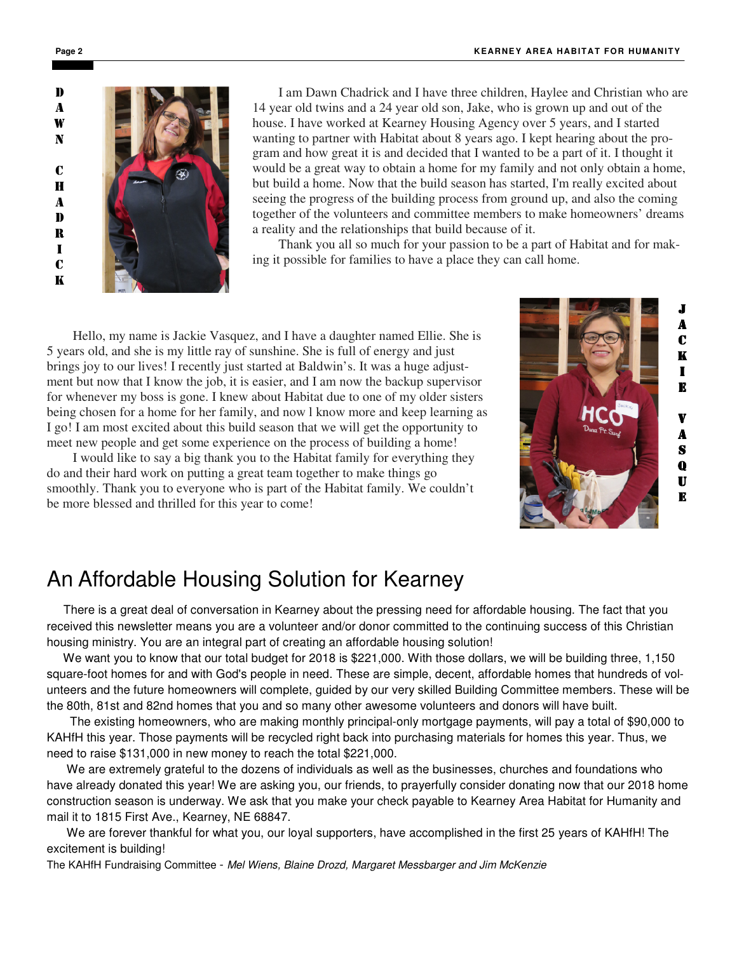

I am Dawn Chadrick and I have three children, Haylee and Christian who are 14 year old twins and a 24 year old son, Jake, who is grown up and out of the house. I have worked at Kearney Housing Agency over 5 years, and I started wanting to partner with Habitat about 8 years ago. I kept hearing about the program and how great it is and decided that I wanted to be a part of it. I thought it would be a great way to obtain a home for my family and not only obtain a home, but build a home. Now that the build season has started, I'm really excited about seeing the progress of the building process from ground up, and also the coming together of the volunteers and committee members to make homeowners' dreams a reality and the relationships that build because of it.

 Thank you all so much for your passion to be a part of Habitat and for making it possible for families to have a place they can call home.

 Hello, my name is Jackie Vasquez, and I have a daughter named Ellie. She is 5 years old, and she is my little ray of sunshine. She is full of energy and just brings joy to our lives! I recently just started at Baldwin's. It was a huge adjustment but now that I know the job, it is easier, and I am now the backup supervisor for whenever my boss is gone. I knew about Habitat due to one of my older sisters being chosen for a home for her family, and now l know more and keep learning as I go! I am most excited about this build season that we will get the opportunity to meet new people and get some experience on the process of building a home!

 I would like to say a big thank you to the Habitat family for everything they do and their hard work on putting a great team together to make things go smoothly. Thank you to everyone who is part of the Habitat family. We couldn't be more blessed and thrilled for this year to come!



## An Affordable Housing Solution for Kearney

 There is a great deal of conversation in Kearney about the pressing need for affordable housing. The fact that you received this newsletter means you are a volunteer and/or donor committed to the continuing success of this Christian housing ministry. You are an integral part of creating an affordable housing solution!

 We want you to know that our total budget for 2018 is \$221,000. With those dollars, we will be building three, 1,150 square-foot homes for and with God's people in need. These are simple, decent, affordable homes that hundreds of volunteers and the future homeowners will complete, guided by our very skilled Building Committee members. These will be the 80th, 81st and 82nd homes that you and so many other awesome volunteers and donors will have built.

 The existing homeowners, who are making monthly principal-only mortgage payments, will pay a total of \$90,000 to KAHfH this year. Those payments will be recycled right back into purchasing materials for homes this year. Thus, we need to raise \$131,000 in new money to reach the total \$221,000.

 We are extremely grateful to the dozens of individuals as well as the businesses, churches and foundations who have already donated this year! We are asking you, our friends, to prayerfully consider donating now that our 2018 home construction season is underway. We ask that you make your check payable to Kearney Area Habitat for Humanity and mail it to 1815 First Ave., Kearney, NE 68847.

 We are forever thankful for what you, our loyal supporters, have accomplished in the first 25 years of KAHfH! The excitement is building!

The KAHfH Fundraising Committee - Mel Wiens, Blaine Drozd, Margaret Messbarger and Jim McKenzie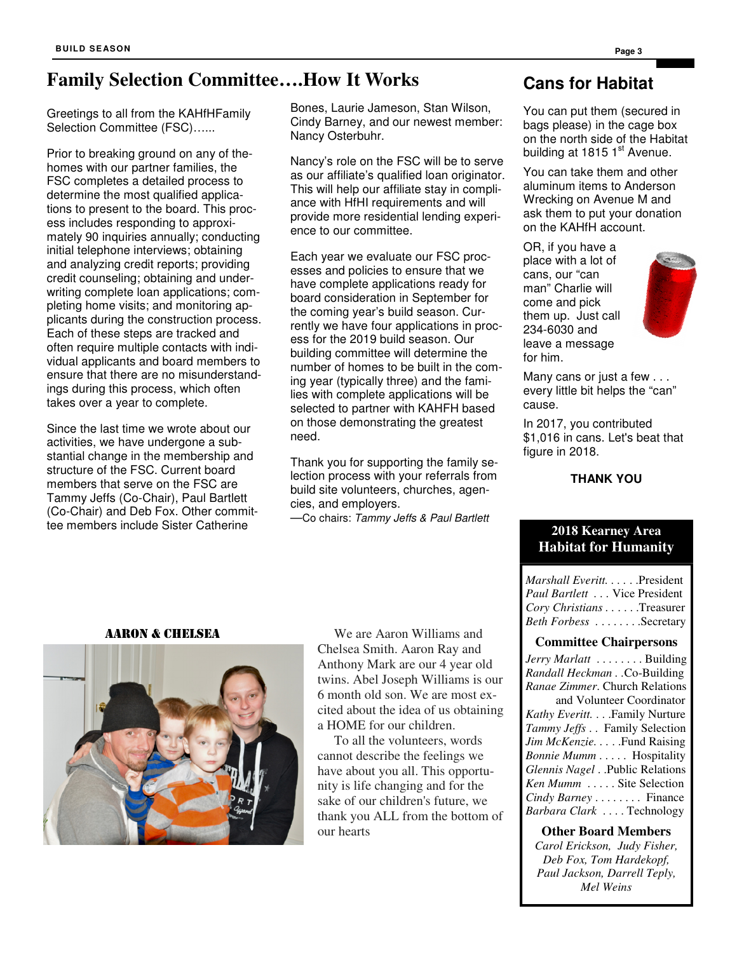## **Family Selection Committee….How It Works**

Greetings to all from the KAHfHFamily Selection Committee (FSC)…...

Prior to breaking ground on any of thehomes with our partner families, the FSC completes a detailed process to determine the most qualified applications to present to the board. This process includes responding to approximately 90 inquiries annually; conducting initial telephone interviews; obtaining and analyzing credit reports; providing credit counseling; obtaining and underwriting complete loan applications; completing home visits; and monitoring applicants during the construction process. Each of these steps are tracked and often require multiple contacts with individual applicants and board members to ensure that there are no misunderstandings during this process, which often takes over a year to complete.

Since the last time we wrote about our activities, we have undergone a substantial change in the membership and structure of the FSC. Current board members that serve on the FSC are Tammy Jeffs (Co-Chair), Paul Bartlett (Co-Chair) and Deb Fox. Other committee members include Sister Catherine

Bones, Laurie Jameson, Stan Wilson, Cindy Barney, and our newest member: Nancy Osterbuhr.

Nancy's role on the FSC will be to serve as our affiliate's qualified loan originator. This will help our affiliate stay in compliance with HfHI requirements and will provide more residential lending experience to our committee.

Each year we evaluate our FSC processes and policies to ensure that we have complete applications ready for board consideration in September for the coming year's build season. Currently we have four applications in process for the 2019 build season. Our building committee will determine the number of homes to be built in the coming year (typically three) and the families with complete applications will be selected to partner with KAHFH based on those demonstrating the greatest need.

Thank you for supporting the family selection process with your referrals from build site volunteers, churches, agencies, and employers.

—Co chairs: Tammy Jeffs & Paul Bartlett

### **Cans for Habitat**

You can put them (secured in bags please) in the cage box on the north side of the Habitat building at 1815  $1<sup>st</sup>$  Avenue.

You can take them and other aluminum items to Anderson Wrecking on Avenue M and ask them to put your donation on the KAHfH account.

OR, if you have a place with a lot of cans, our "can man" Charlie will come and pick them up. Just call 234-6030 and leave a message for him.



Many cans or just a few . . . every little bit helps the "can" cause.

In 2017, you contributed \$1,016 in cans. Let's beat that figure in 2018.

### **THANK YOU**

### **2018 Kearney Area Habitat for Humanity**

*Marshall Everitt.* . . . . . . President *Paul Bartlett . . .* Vice President *Cory Christians . . . . . .* Treasurer *Beth Forbess* . . . . . . . . . Secretary

### **Committee Chairpersons**

*Jerry Marlatt* . . . . . . . . Building *Randall Heckman . .*Co-Building *Ranae Zimmer*. Church Relations and Volunteer Coordinator *Kathy Everitt.* . . .Family Nurture *Tammy Jeffs* . . Family Selection *Jim McKenzie....*.Fund Raising *Bonnie Mumm* . . . . . Hospitality *Glennis Nagel* . .Public Relations *Ken Mumm* . . . . . Site Selection *Cindy Barney* . . . . . . . . Finance *Barbara Clark* . . . . Technology

**Other Board Members**  *Carol Erickson, Judy Fisher,* 

*Deb Fox, Tom Hardekopf, Paul Jackson, Darrell Teply, Mel Weins* 

#### AARON & CHELSEA



 We are Aaron Williams and Chelsea Smith. Aaron Ray and Anthony Mark are our 4 year old twins. Abel Joseph Williams is our 6 month old son. We are most excited about the idea of us obtaining a HOME for our children.

 To all the volunteers, words cannot describe the feelings we have about you all. This opportunity is life changing and for the sake of our children's future, we thank you ALL from the bottom of our hearts